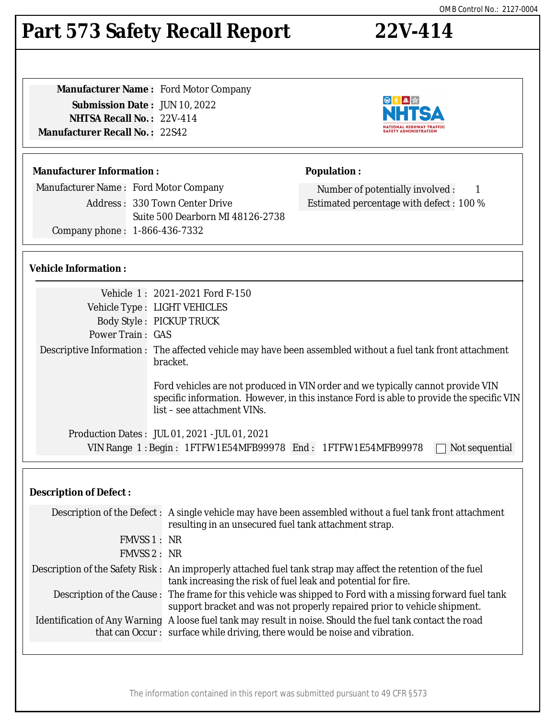# **Part 573 Safety Recall Report 22V-414**

| <b>Manufacturer Name: Ford Motor Company</b> |  |
|----------------------------------------------|--|
| <b>Submission Date: JUN 10, 2022</b>         |  |
| <b>NHTSA Recall No.: 22V-414</b>             |  |
| <b>Manufacturer Recall No. : 22S42</b>       |  |
|                                              |  |

#### **Manufacturer Information :**

Manufacturer Name : Ford Motor Company Address : 330 Town Center Drive Suite 500 Dearborn MI 48126-2738 Company phone : 1-866-436-7332

#### **Vehicle Information :**

|                         | Vehicle 1: 2021-2021 Ford F-150                                                                                                                                                                            |  |
|-------------------------|------------------------------------------------------------------------------------------------------------------------------------------------------------------------------------------------------------|--|
|                         | Vehicle Type : LIGHT VEHICLES                                                                                                                                                                              |  |
|                         | <b>Body Style: PICKUP TRUCK</b>                                                                                                                                                                            |  |
| <b>Power Train: GAS</b> |                                                                                                                                                                                                            |  |
|                         | Descriptive Information : The affected vehicle may have been assembled without a fuel tank front attachment<br>bracket.                                                                                    |  |
|                         | Ford vehicles are not produced in VIN order and we typically cannot provide VIN<br>specific information. However, in this instance Ford is able to provide the specific VIN<br>list – see attachment VINs. |  |
|                         | Production Dates: JUL 01, 2021 - JUL 01, 2021                                                                                                                                                              |  |
|                         | VIN Range 1: Begin: 1FTFW1E54MFB99978 End: 1FTFW1E54MFB99978<br>Not sequential                                                                                                                             |  |

### **Description of Defect :**

|              | Description of the Defect : A single vehicle may have been assembled without a fuel tank front attachment<br>resulting in an unsecured fuel tank attachment strap.                       |
|--------------|------------------------------------------------------------------------------------------------------------------------------------------------------------------------------------------|
| FMVSS 1 : NR |                                                                                                                                                                                          |
| FMVSS 2 : NR |                                                                                                                                                                                          |
|              | Description of the Safety Risk: An improperly attached fuel tank strap may affect the retention of the fuel<br>tank increasing the risk of fuel leak and potential for fire.             |
|              | Description of the Cause: The frame for this vehicle was shipped to Ford with a missing forward fuel tank<br>support bracket and was not properly repaired prior to vehicle shipment.    |
|              | Identification of Any Warning A loose fuel tank may result in noise. Should the fuel tank contact the road<br>that can Occur: surface while driving, there would be noise and vibration. |





Number of potentially involved : 1 Estimated percentage with defect : 100 %

日本風☆

**Population :**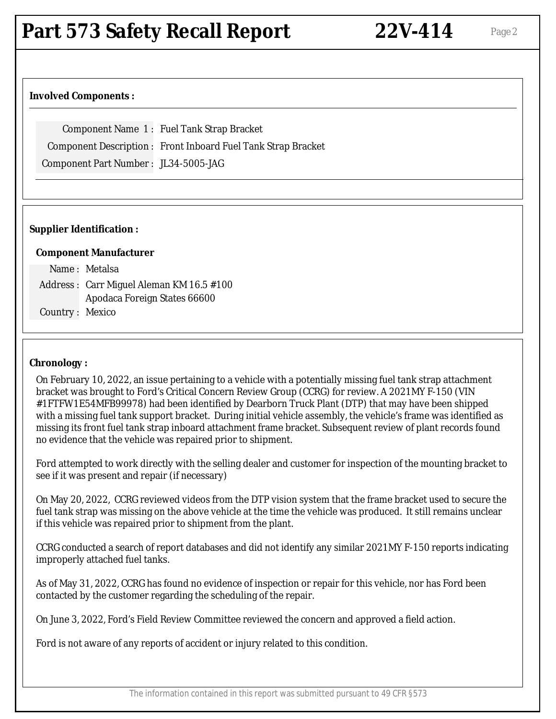## **Involved Components :**

Component Name 1 : Fuel Tank Strap Bracket

Component Description : Front Inboard Fuel Tank Strap Bracket

Component Part Number : JL34-5005-JAG

## **Supplier Identification :**

## **Component Manufacturer**

|                 | Name: Metalsa                            |
|-----------------|------------------------------------------|
|                 | Address: Carr Miguel Aleman KM 16.5 #100 |
|                 | Apodaca Foreign States 66600             |
| Country: Mexico |                                          |

#### **Chronology :**

On February 10, 2022, an issue pertaining to a vehicle with a potentially missing fuel tank strap attachment bracket was brought to Ford's Critical Concern Review Group (CCRG) for review. A 2021MY F-150 (VIN #1FTFW1E54MFB99978) had been identified by Dearborn Truck Plant (DTP) that may have been shipped with a missing fuel tank support bracket. During initial vehicle assembly, the vehicle's frame was identified as missing its front fuel tank strap inboard attachment frame bracket. Subsequent review of plant records found no evidence that the vehicle was repaired prior to shipment.

Ford attempted to work directly with the selling dealer and customer for inspection of the mounting bracket to see if it was present and repair (if necessary)

On May 20, 2022, CCRG reviewed videos from the DTP vision system that the frame bracket used to secure the fuel tank strap was missing on the above vehicle at the time the vehicle was produced. It still remains unclear if this vehicle was repaired prior to shipment from the plant.

CCRG conducted a search of report databases and did not identify any similar 2021MY F-150 reports indicating improperly attached fuel tanks.

As of May 31, 2022, CCRG has found no evidence of inspection or repair for this vehicle, nor has Ford been contacted by the customer regarding the scheduling of the repair.

On June 3, 2022, Ford's Field Review Committee reviewed the concern and approved a field action.

Ford is not aware of any reports of accident or injury related to this condition.

The information contained in this report was submitted pursuant to 49 CFR §573